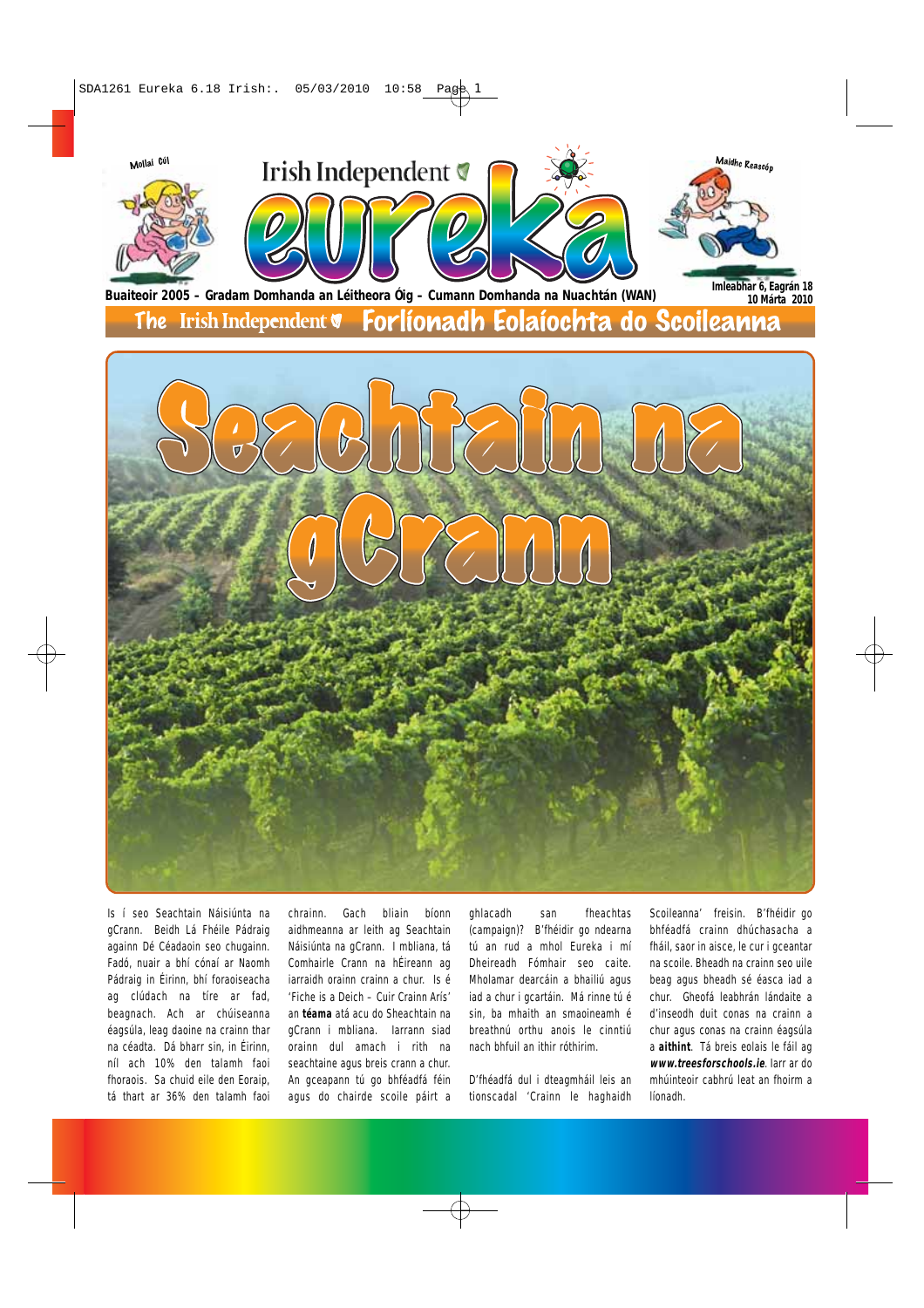

Is í seo Seachtain Náisiúnta na gCrann. Beidh Lá Fhéile Pádraig againn Dé Céadaoin seo chugainn. Fadó, nuair a bhí cónaí ar Naomh Pádraig in Éirinn, bhí foraoiseacha ag clúdach na tíre ar fad, beagnach. Ach ar chúiseanna éagsúla, leag daoine na crainn thar na céadta. Dá bharr sin, in Éirinn, níl ach 10% den talamh faoi fhoraois. Sa chuid eile den Eoraip, tá thart ar 36% den talamh faoi

chrainn. Gach bliain bíonn aidhmeanna ar leith ag Seachtain Náisiúnta na gCrann. I mbliana, tá Comhairle Crann na hÉireann ag iarraidh orainn crainn a chur. Is é 'Fiche is a Deich – Cuir Crainn Arís' an **téama** atá acu do Sheachtain na gCrann i mbliana. Iarrann siad orainn dul amach i rith na seachtaine agus breis crann a chur. An gceapann tú go bhféadfá féin agus do chairde scoile páirt a

ghlacadh san fheachtas (campaign)? B'fhéidir go ndearna tú an rud a mhol Eureka i mí Dheireadh Fómhair seo caite. Mholamar dearcáin a bhailiú agus iad a chur i gcartáin. Má rinne tú é sin, ba mhaith an smaoineamh é breathnú orthu anois le cinntiú nach bhfuil an ithir róthirim.

D'fhéadfá dul i dteagmháil leis an tionscadal 'Crainn le haghaidh

Scoileanna' freisin. B'fhéidir go bhféadfá crainn dhúchasacha a fháil, saor in aisce, le cur i gceantar na scoile. Bheadh na crainn seo uile beag agus bheadh sé éasca iad a chur. Gheofá leabhrán lándaite a d'inseodh duit conas na crainn a chur agus conas na crainn éagsúla a **aithint**. Tá breis eolais le fáil ag **www.treesforschools.ie**. Iarr ar do mhúinteoir cabhrú leat an fhoirm a líonadh.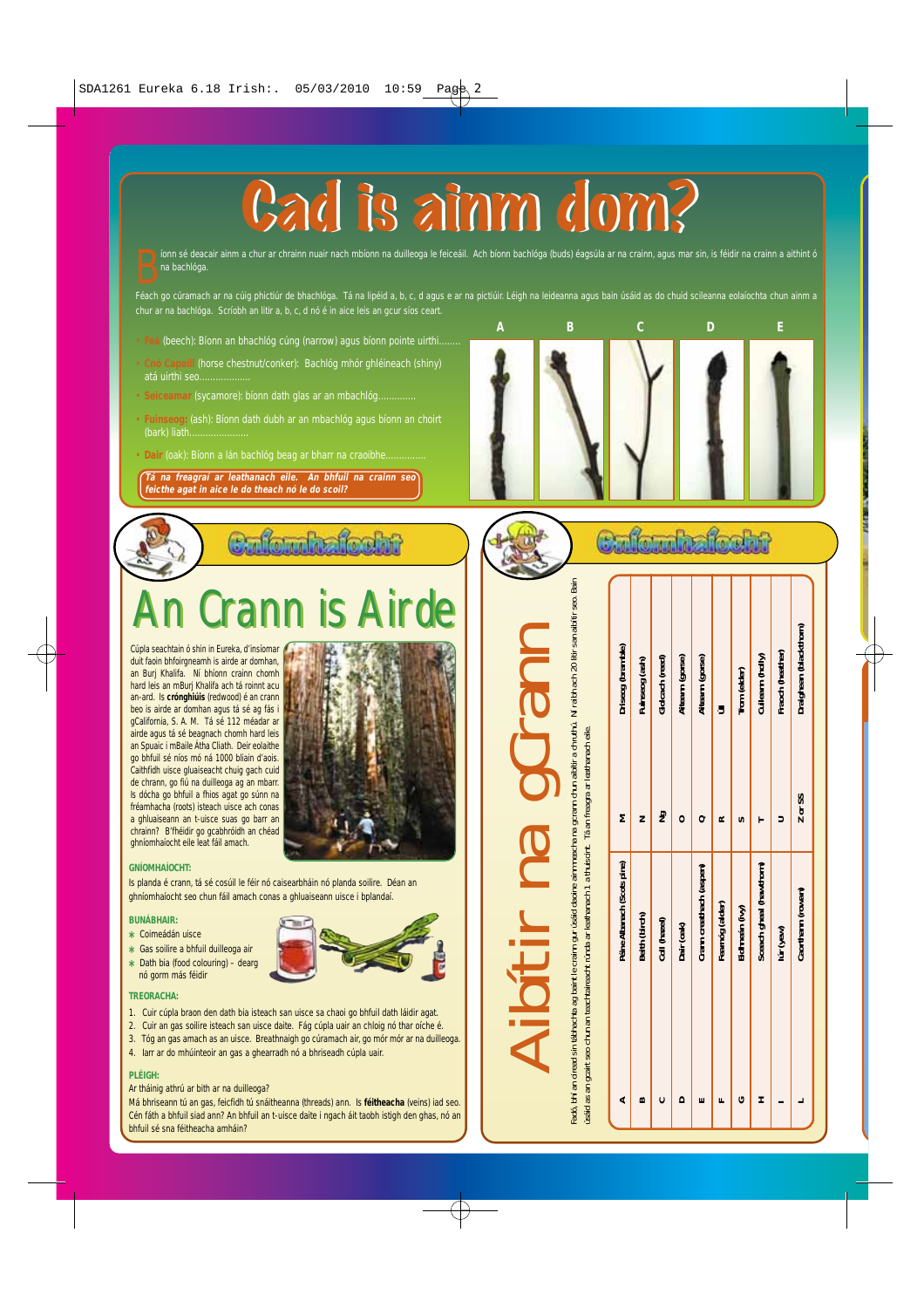

inn sé deacair ainm a chur ar chrainn nuair nach mbíonn na duilleoga le feiceáil. Ach bíonn bachlóga (buds) éagsúla ar na crainn, agus mar sin, is féidir na crainn a aithint ó na bachlóga.<br>Tá na bachlóga.<br>Féach go cúramach íonn sé deacair ainm a chur ar chrainn nuair nach mbíonn na duilleoga le feiceáil. Ach bíonn bachlóga (buds) éagsúla ar na crainn, agus mar sin, is féidir na crainn a aithint ó na bachlóga.

chur ar na bachlóga. Scríobh an litir a, b, c, d nó é in aice leis an gcur síos ceart.

- **Feá** (beech): Bíonn an bhachlóg cúng (narrow) agus bíonn pointe uirthi........
- **Cnó Capaill** (horse chestnut/conker): Bachlóg mhór ghléineach (shiny) atá uirthi seo.
- **Seiceamar** (sycamore): bíonn dath glas ar an mbachlóg..............
- **Fuinseog:** (ash): Bíonn dath dubh ar an mbachlóg agus bíonn an choirt (bark) liath......................
- Dair (oak): Bíonn a lán bachlóg beag ar bharr na craoibhe.

**Tá na freagraí ar leathanach eile. An bhfuil na crainn seo feicthe agat in aice le do theach nó le do scoil?**



### Culturin focht

# **Airde**

Cúpla seachtain ó shin in Eureka, d'insíomar duit faoin bhfoirgneamh is airde ar domhan, an Burj Khalifa. Ní bhíonn crainn chomh hard leis an mBurj Khalifa ach tá roinnt acu an-ard. Is **crónghiúis** (redwood) é an crann beo is airde ar domhan agus tá sé ag fás i gCalifornia, S. A. M. Tá sé 112 méadar ar airde agus tá sé beagnach chomh hard leis an Spuaic i mBaile Átha Cliath. Deir eolaithe go bhfuil sé níos mó ná 1000 bliain d'aois. Caithfidh uisce gluaiseacht chuig gach cuid de chrann, go fiú na duilleoga ag an mbarr. Is dócha go bhfuil a fhios agat go súnn na fréamhacha (roots) isteach uisce ach conas a ghluaiseann an t-uisce suas go barr an chrainn? B'fhéidir go gcabhróidh an chéad ghníomhaíocht eile leat fáil amach.



### **GNÍOMHAÍOCHT:**

Is planda é crann, tá sé cosúil le féir nó caisearbháin nó planda soilire. Déan an ghníomhaíocht seo chun fáil amach conas a ghluaiseann uisce i bplandaí.

### **BUNÁBHAIR:**

- **\*** Coimeádán uisce
- **\*** Gas soilire a bhfuil duilleoga air **\*** Dath bia (food colouring) – dearg
- nó gorm más féidir

### **TREORACHA:**

- 1. Cuir cúpla braon den dath bia isteach san uisce sa chaoi go bhfuil dath láidir agat.
- 2. Cuir an gas soilire isteach san uisce daite. Fág cúpla uair an chloig nó thar oíche é.
- 3. Tóg an gas amach as an uisce. Breathnaigh go cúramach air, go mór mór ar na duilleoga.
- 4. Iarr ar do mhúinteoir an gas a ghearradh nó a bhriseadh cúpla uair.

### **PLÉIGH:**

Ar tháinig athrú ar bith ar na duilleoga?

Má bhriseann tú an gas, feicfidh tú snáitheanna (threads) ann. Is **féitheacha** (veins) iad seo. Cén fáth a bhfuil siad ann? An bhfuil an t-uisce daite i ngach áit taobh istigh den ghas, nó an bhfuil sé sna féitheacha amháin?

# Fadó, bhí an oiread sin tábhachta ag baint le crainn gur úsáid daoine ainmneacha na gcrann chun aibítir a chruthú. Ní raibh ach 20 litir san aibítir seo. Bain Ní raibh ach 20 litir san aibítir seo. Aibítir na gCrann an oiread sin tábhachta ag baint le crainn gur úsáid daoine ainmneacha na gcrann chun aibítir a chruthú.

 $\overline{5}$ 

 $\oplus$ 

|                                                                                                                                                                                                                                                                                      | Driseog (bramble)           | Fuinseog (ash) | Giolcach (reed) | Aiteann (gorse) | Aiteann (gorse)         |                 | Trom (elder)   | Cuileann (holly)       | Fraoch (heather) | Draighean (blackthorn) |
|--------------------------------------------------------------------------------------------------------------------------------------------------------------------------------------------------------------------------------------------------------------------------------------|-----------------------------|----------------|-----------------|-----------------|-------------------------|-----------------|----------------|------------------------|------------------|------------------------|
|                                                                                                                                                                                                                                                                                      | Σ                           |                | g               |                 |                         |                 |                |                        |                  | Z or SS                |
| Fadó, bhí an oiread sin tábhachta ag baint le crainn gur úsáid daoine ainmneacha na gcrann chun aibitír a chruthú. Ní raibh ach 20 litir san aibitír seo. Bain<br>úsáid as an gcairt seo chun an teachtaireacht rúnda ar leathanach 1 a thuiscint. Tá an freagra ar leathanach eile. | Péine Albanach (Scots pine) | Beith (birch)  | Coll (hazel)    | Dair (oak)      | Crann creathach (aspen) | Fearnóg (alder) | Eidhneán (ivy) | Sceach gheal (hawthom) | lúr (yew)        | Caorthann (rowan)      |
|                                                                                                                                                                                                                                                                                      | ď,                          | m              |                 |                 |                         |                 |                |                        |                  |                        |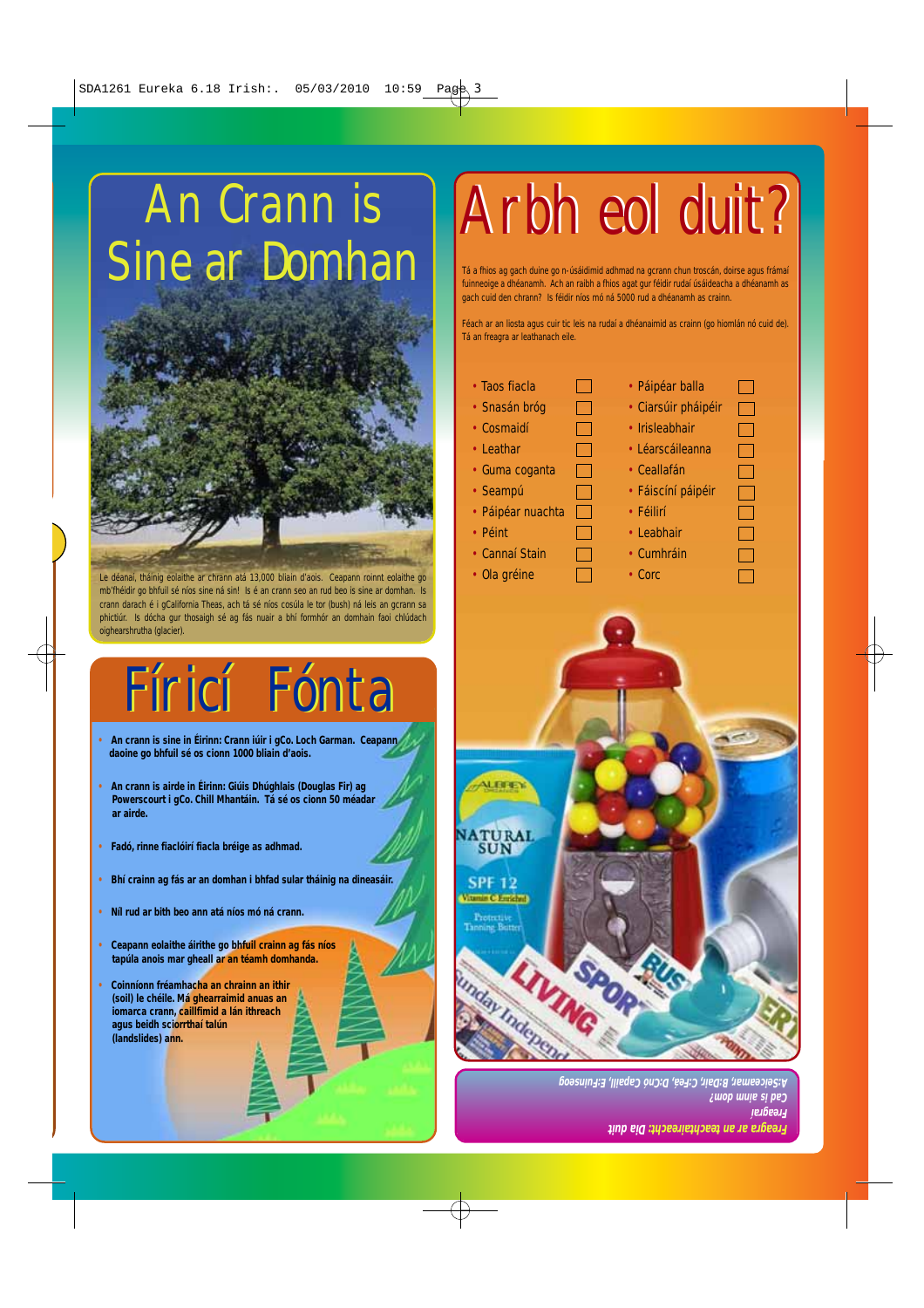# An Crann is Sine ar Domhan



Le déanaí, tháinig eolaithe ar chrann atá 13,000 bliain d'aois. Ceapann roinnt eolaithe go mb'fhéidir go bhfuil sé níos sine ná sin! Is é an crann seo an rud beo is sine ar domhan. Is crann darach é i gCalifornia Theas, ach tá sé níos cosúla le tor (bush) ná leis an gcrann sa phictiúr. Is dócha gur thosaigh sé ag fás nuair a bhí formhór an domhain faoi chlúdach oighearshrutha (glacier).

# Fíricí Fónta Fíricí Fónta

- **• An crann is sine in Éirinn: Crann iúir i gCo. Loch Garman. Ceapann daoine go bhfuil sé os cionn 1000 bliain d'aois.**
- **• An crann is airde in Éirinn: Giúis Dhúghlais (Douglas Fir) ag Powerscourt i gCo. Chill Mhantáin. Tá sé os cionn 50 méadar ar airde.**
- **• Fadó, rinne fiaclóirí fiacla bréige as adhmad.**
- **• Bhí crainn ag fás ar an domhan i bhfad sular tháinig na dineasáir.**
- **• Níl rud ar bith beo ann atá níos mó ná crann.**
- **• Ceapann eolaithe áirithe go bhfuil crainn ag fás níos tapúla anois mar gheall ar an téamh domhanda.**
- **• Coinníonn fréamhacha an chrainn an ithir (soil) le chéile. Má ghearraimid anuas an iomarca crann, caillfimid a lán ithreach agus beidh sciorrthaí talún (landslides) ann.**

# Arbh eol duit? Arbh eol duit?

Tá a fhios ag gach duine go n-úsáidimid adhmad na gcrann chun troscán, doirse agus frámaí fuinneoige a dhéanamh. Ach an raibh a fhios agat gur féidir rudaí úsáideacha a dhéanamh as gach cuid den chrann? Is féidir níos mó ná 5000 rud a dhéanamh as crainn.

Féach ar an liosta agus cuir tic leis na rudaí a dhéanaimid as crainn (go hiomlán nó cuid de). Tá an freagra ar leathanach eile.

 $\Box$ 

 $\Box$ 

 $\Box$ 

 $\Box$ 

 $\Box$  $\Box$  $\Box$ 

- Taos fiacla • Snasán bróg • Cosmaidí • Leathar • Guma coganta • Seampú
- Páipéar nuachta
- Péint
- Cannaí Stain
- $\Box$  $\Box$ • Ola gréine
- Léarscáileanna • Ceallafán • Fáiscíní páipéir

• Páipéar balla • Ciarsúir pháipéir • Irisleabhair

 $\Box$ 

 $\Box$ 

 $\Box$ 

 $\Box$ 

- Féilirí
- Leabhair
- Cumhráin
- Corc



**Freagra ar an teachtaireacht: Dia duit Freagraí Cad is ainm dom? A:Seiceamar, B:Dair, C:Feá, D:Cnó Capaill, E:Fuinseog**